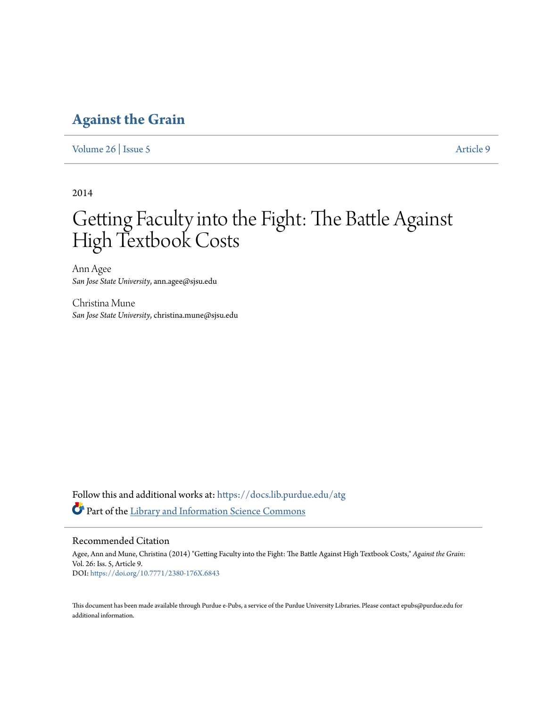# **[Against the Grain](https://docs.lib.purdue.edu/atg?utm_source=docs.lib.purdue.edu%2Fatg%2Fvol26%2Fiss5%2F9&utm_medium=PDF&utm_campaign=PDFCoverPages)**

[Volume 26](https://docs.lib.purdue.edu/atg/vol26?utm_source=docs.lib.purdue.edu%2Fatg%2Fvol26%2Fiss5%2F9&utm_medium=PDF&utm_campaign=PDFCoverPages) | [Issue 5](https://docs.lib.purdue.edu/atg/vol26/iss5?utm_source=docs.lib.purdue.edu%2Fatg%2Fvol26%2Fiss5%2F9&utm_medium=PDF&utm_campaign=PDFCoverPages) [Article 9](https://docs.lib.purdue.edu/atg/vol26/iss5/9?utm_source=docs.lib.purdue.edu%2Fatg%2Fvol26%2Fiss5%2F9&utm_medium=PDF&utm_campaign=PDFCoverPages)

2014

# Getting Faculty into the Fight: The Battle Against High Textbook Costs

Ann Agee *San Jose State University*, ann.agee@sjsu.edu

Christina Mune *San Jose State University*, christina.mune@sjsu.edu

Follow this and additional works at: [https://docs.lib.purdue.edu/atg](https://docs.lib.purdue.edu/atg?utm_source=docs.lib.purdue.edu%2Fatg%2Fvol26%2Fiss5%2F9&utm_medium=PDF&utm_campaign=PDFCoverPages) Part of the [Library and Information Science Commons](http://network.bepress.com/hgg/discipline/1018?utm_source=docs.lib.purdue.edu%2Fatg%2Fvol26%2Fiss5%2F9&utm_medium=PDF&utm_campaign=PDFCoverPages)

## Recommended Citation

Agee, Ann and Mune, Christina (2014) "Getting Faculty into the Fight: The Battle Against High Textbook Costs," *Against the Grain*: Vol. 26: Iss. 5, Article 9. DOI: <https://doi.org/10.7771/2380-176X.6843>

This document has been made available through Purdue e-Pubs, a service of the Purdue University Libraries. Please contact epubs@purdue.edu for additional information.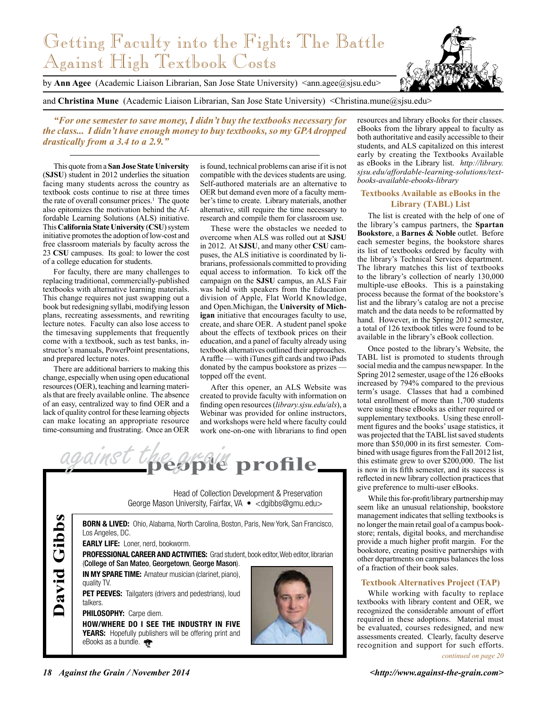# Getting Faculty into the Fight: The Battle Against High Textbook Costs

by **Ann Agee** (Academic Liaison Librarian, San Jose State University) <ann.agee@sjsu.edu>

and **Christina Mune** (Academic Liaison Librarian, San Jose State University) <Christina.mune@sisu.edu>

*"For one semester to save money, I didn't buy the textbooks necessary for the class... I didn't have enough money to buy textbooks, so my GPA dropped drastically from a 3.4 to a 2.9."*

This quote from a **San Jose State University**  (**SJSU**) student in 2012 underlies the situation facing many students across the country as textbook costs continue to rise at three times the rate of overall consumer prices.<sup>1</sup> The quote also epitomizes the motivation behind the Affordable Learning Solutions (ALS) initiative. This **California State University** (**CSU**) system initiative promotes the adoption of low-cost and free classroom materials by faculty across the 23 **CSU** campuses. Its goal: to lower the cost of a college education for students.

For faculty, there are many challenges to replacing traditional, commercially-published textbooks with alternative learning materials. This change requires not just swapping out a book but redesigning syllabi, modifying lesson plans, recreating assessments, and rewriting lecture notes. Faculty can also lose access to the timesaving supplements that frequently come with a textbook, such as test banks, instructor's manuals, PowerPoint presentations, and prepared lecture notes.

There are additional barriers to making this change, especially when using open educational resources (OER), teaching and learning materials that are freely available online. The absence of an easy, centralized way to find OER and a lack of quality control for these learning objects can make locating an appropriate resource time-consuming and frustrating. Once an OER

is found, technical problems can arise if it is not compatible with the devices students are using. Self-authored materials are an alternative to OER but demand even more of a faculty member's time to create. Library materials, another alternative, still require the time necessary to research and compile them for classroom use.

These were the obstacles we needed to overcome when ALS was rolled out at **SJSU** in 2012. At **SJSU**, and many other **CSU** campuses, the ALS initiative is coordinated by librarians, professionals committed to providing equal access to information. To kick off the campaign on the **SJSU** campus, an ALS Fair was held with speakers from the Education division of Apple, Flat World Knowledge, and Open.Michigan, the **University of Michigan** initiative that encourages faculty to use, create, and share OER. A student panel spoke about the effects of textbook prices on their education, and a panel of faculty already using textbook alternatives outlined their approaches. A raffle — with iTunes gift cards and two iPads donated by the campus bookstore as prizes topped off the event.

After this opener, an ALS Website was created to provide faculty with information on finding open resources (*library.sjsu.edu/als*), a Webinar was provided for online instructors, and workshops were held where faculty could work one-on-one with librarians to find open



Head of Collection Development & Preservation George Mason University, Fairfax, VA • <dgibbs@gmu.edu>

**BORN & LIVED:** Ohio, Alabama, North Carolina, Boston, Paris, New York, San Francisco, Los Angeles, DC. **Early life:** Loner, nerd, bookworm. **PROFESSIONAL CAREER AND ACTIVITIES:** Grad student, book editor, Web editor, librarian (College of San Mateo, Georgetown, George Mason). **In my spare time:** Amateur musician (clarinet, piano), quality TV. **PET PEEVES:** Tailgaters (drivers and pedestrians), loud talkers. **Philosophy:** Carpe diem. **How/Where do I see the industry in five YEARS:** Hopefully publishers will be offering print and eBooks as a bundle. **David Gibbs**

resources and library eBooks for their classes. eBooks from the library appeal to faculty as both authoritative and easily accessible to their students, and ALS capitalized on this interest early by creating the Textbooks Available as eBooks in the Library list. *http://library. sjsu.edu/affordable-learning-solutions/textbooks-available-ebooks-library*

#### **Textbooks Available as eBooks in the Library (TABL) List**

The list is created with the help of one of the library's campus partners, the **Spartan Bookstore**, a **Barnes & Noble** outlet. Before each semester begins, the bookstore shares its list of textbooks ordered by faculty with the library's Technical Services department. The library matches this list of textbooks to the library's collection of nearly 130,000 multiple-use eBooks. This is a painstaking process because the format of the bookstore's list and the library's catalog are not a precise match and the data needs to be reformatted by hand. However, in the Spring 2012 semester, a total of 126 textbook titles were found to be available in the library's eBook collection.

Once posted to the library's Website, the TABL list is promoted to students through social media and the campus newspaper. In the Spring 2012 semester, usage of the 126 eBooks increased by 794% compared to the previous term's usage. Classes that had a combined total enrollment of more than 1,700 students were using these eBooks as either required or supplementary textbooks. Using these enrollment figures and the books' usage statistics, it was projected that the TABL list saved students more than \$50,000 in its first semester. Combined with usage figures from the Fall 2012 list, this estimate grew to over \$200,000. The list is now in its fifth semester, and its success is reflected in new library collection practices that give preference to multi-user eBooks.

While this for-profit/library partnership may seem like an unusual relationship, bookstore management indicates that selling textbooks is no longer the main retail goal of a campus bookstore; rentals, digital books, and merchandise provide a much higher profit margin. For the bookstore, creating positive partnerships with other departments on campus balances the loss of a fraction of their book sales.

### **Textbook Alternatives Project (TAP)**

While working with faculty to replace textbooks with library content and OER, we recognized the considerable amount of effort required in these adoptions. Material must be evaluated, courses redesigned, and new assessments created. Clearly, faculty deserve recognition and support for such efforts.